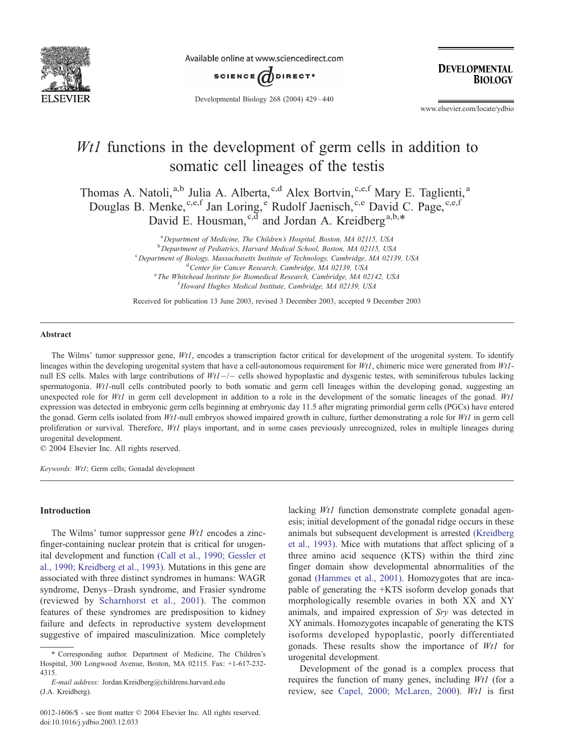

Available online at www.sciencedirect.com



**DEVELOPMENTAL BIOLOGY** 

Developmental Biology 268 (2004) 429 – 440

www.elsevier.com/locate/ydbio

# Wt1 functions in the development of germ cells in addition to somatic cell lineages of the testis

Thomas A. Natoli,<sup>a,b</sup> Julia A. Alberta,<sup>c,d</sup> Alex Bortvin,<sup>c,e,f</sup> Mary E. Taglienti,<sup>a</sup> Douglas B. Menke, c,e,f Jan Loring, Rudolf Jaenisch, c,e David C. Page, c,e,f David E. Housman,<sup>c,d</sup> and Jordan A. Kreidberg<sup>a,b,\*</sup>

> <sup>a</sup> Department of Medicine, The Children's Hospital, Boston, MA 02115, USA<br><sup>b</sup> Department of Pediatries, Harvard Medical Sebool, Boston, MA 02115, USA <sup>b</sup> Department of Pediatrics, Harvard Medical School, Boston, MA 02115, USA  $^{\circ}$  Department of Biology, Massachusetts Institute of Technology, Cambridge, MA 02139, USA  $^{\circ}$ Center for Cancer Research, Cambridge, MA 02139, USA <sup>e</sup> The Whitehead Institute for Biomedical Research, Cambridge, MA 02142, USA<br><sup>f</sup> Howard Hughes Medical Institute Cambridge, MA 02130, USA <sup>f</sup> Howard Hughes Medical Institute, Cambridge, MA 02139, USA

> Received for publication 13 June 2003, revised 3 December 2003, accepted 9 December 2003

#### Abstract

The Wilms' tumor suppressor gene, Wt1, encodes a transcription factor critical for development of the urogenital system. To identify lineages within the developing urogenital system that have a cell-autonomous requirement for  $Wt1$ , chimeric mice were generated from  $Wt1$ null ES cells. Males with large contributions of  $Wt1$  –/- cells showed hypoplastic and dysgenic testes, with seminiferous tubules lacking spermatogonia. Wtl-null cells contributed poorly to both somatic and germ cell lineages within the developing gonad, suggesting an unexpected role for Wt1 in germ cell development in addition to a role in the development of the somatic lineages of the gonad. Wt1 expression was detected in embryonic germ cells beginning at embryonic day 11.5 after migrating primordial germ cells (PGCs) have entered the gonad. Germ cells isolated from  $Wt1$ -null embryos showed impaired growth in culture, further demonstrating a role for  $Wt1$  in germ cell proliferation or survival. Therefore, Wtl plays important, and in some cases previously unrecognized, roles in multiple lineages during urogenital development.

 $© 2004 Elsevier Inc. All rights reserved.$ 

Keywords: Wt1; Germ cells; Gonadal development

### Introduction

The Wilms' tumor suppressor gene *Wt1* encodes a zincfinger-containing nuclear protein that is critical for urogenital development and function [\(Call et al., 1990; Gessler et](#page-10-0) al., 1990; Kreidberg et al., 1993). Mutations in this gene are associated with three distinct syndromes in humans: WAGR syndrome, Denys-Drash syndrome, and Frasier syndrome (reviewed by [Scharnhorst et al., 2001\)](#page-10-0). The common features of these syndromes are predisposition to kidney failure and defects in reproductive system development suggestive of impaired masculinization. Mice completely

E-mail address: Jordan.Kreidberg@childrens.harvard.edu (J.A. Kreidberg).

lacking Wt1 function demonstrate complete gonadal agenesis; initial development of the gonadal ridge occurs in these animals but subsequent development is arrested [\(Kreidberg](#page-10-0) et al., 1993). Mice with mutations that affect splicing of a three amino acid sequence (KTS) within the third zinc finger domain show developmental abnormalities of the gonad [\(Hammes et al., 2001\).](#page-10-0) Homozygotes that are incapable of generating the +KTS isoform develop gonads that morphologically resemble ovaries in both XX and XY animals, and impaired expression of Sry was detected in XY animals. Homozygotes incapable of generating the KTS isoforms developed hypoplastic, poorly differentiated gonads. These results show the importance of Wt1 for urogenital development.

Development of the gonad is a complex process that requires the function of many genes, including  $Wt1$  (for a review, see [Capel, 2000; McLaren, 2000\)](#page-10-0). Wt1 is first

<sup>\*</sup> Corresponding author. Department of Medicine, The Children's Hospital, 300 Longwood Avenue, Boston, MA 02115. Fax: +1-617-232- 4315.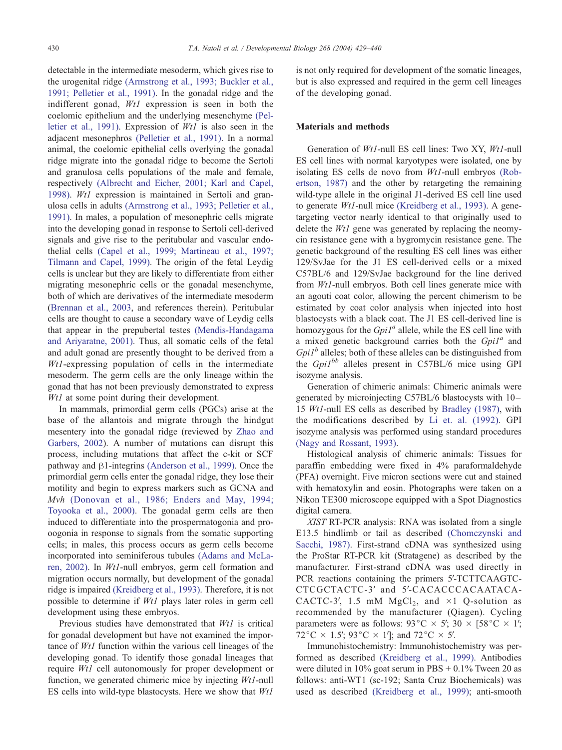detectable in the intermediate mesoderm, which gives rise to the urogenital ridge [\(Armstrong et al., 1993; Buckler et al.,](#page-10-0) 1991; Pelletier et al., 1991). In the gonadal ridge and the indifferent gonad, Wt1 expression is seen in both the coelomic epithelium and the underlying mesenchyme [\(Pel](#page-10-0)letier et al., 1991). Expression of Wt1 is also seen in the adjacent mesonephros [\(Pelletier et al., 1991\).](#page-10-0) In a normal animal, the coelomic epithelial cells overlying the gonadal ridge migrate into the gonadal ridge to become the Sertoli and granulosa cells populations of the male and female, respectively [\(Albrecht and Eicher, 2001; Karl and Capel,](#page-10-0) 1998). Wt1 expression is maintained in Sertoli and granulosa cells in adults [\(Armstrong et al., 1993; Pelletier et al.,](#page-10-0) 1991). In males, a population of mesonephric cells migrate into the developing gonad in response to Sertoli cell-derived signals and give rise to the peritubular and vascular endothelial cells [\(Capel et al., 1999; Martineau et al., 1997;](#page-10-0) Tilmann and Capel, 1999). The origin of the fetal Leydig cells is unclear but they are likely to differentiate from either migrating mesonephric cells or the gonadal mesenchyme, both of which are derivatives of the intermediate mesoderm ([Brennan et al., 2003,](#page-10-0) and references therein). Peritubular cells are thought to cause a secondary wave of Leydig cells that appear in the prepubertal testes [\(Mendis-Handagama](#page-10-0) and Ariyaratne, 2001). Thus, all somatic cells of the fetal and adult gonad are presently thought to be derived from a Wt1-expressing population of cells in the intermediate mesoderm. The germ cells are the only lineage within the gonad that has not been previously demonstrated to express Wt1 at some point during their development.

In mammals, primordial germ cells (PGCs) arise at the base of the allantois and migrate through the hindgut mesentery into the gonadal ridge (reviewed by [Zhao and](#page-11-0) Garbers, 2002). A number of mutations can disrupt this process, including mutations that affect the c-kit or SCF pathway and  $\beta$ 1-integrins [\(Anderson et al., 1999\).](#page-10-0) Once the primordial germ cells enter the gonadal ridge, they lose their motility and begin to express markers such as GCNA and Mvh [\(Donovan et al., 1986; Enders and May, 1994;](#page-10-0) Toyooka et al., 2000). The gonadal germ cells are then induced to differentiate into the prospermatogonia and prooogonia in response to signals from the somatic supporting cells; in males, this process occurs as germ cells become incorporated into seminiferous tubules [\(Adams and McLa](#page-10-0)ren, 2002). In Wt1-null embryos, germ cell formation and migration occurs normally, but development of the gonadal ridge is impaired [\(Kreidberg et al., 1993\).](#page-10-0) Therefore, it is not possible to determine if Wt1 plays later roles in germ cell development using these embryos.

Previous studies have demonstrated that Wt1 is critical for gonadal development but have not examined the importance of Wt1 function within the various cell lineages of the developing gonad. To identify those gonadal lineages that require Wt1 cell autonomously for proper development or function, we generated chimeric mice by injecting Wt1-null ES cells into wild-type blastocysts. Here we show that Wt1 is not only required for development of the somatic lineages, but is also expressed and required in the germ cell lineages of the developing gonad.

## Materials and methods

Generation of Wt1-null ES cell lines: Two XY, Wt1-null ES cell lines with normal karyotypes were isolated, one by isolating ES cells de novo from Wt1-null embryos [\(Rob](#page-10-0)ertson, 1987) and the other by retargeting the remaining wild-type allele in the original J1-derived ES cell line used to generate Wt1-null mice [\(Kreidberg et al., 1993\).](#page-10-0) A genetargeting vector nearly identical to that originally used to delete the *Wt1* gene was generated by replacing the neomycin resistance gene with a hygromycin resistance gene. The genetic background of the resulting ES cell lines was either 129/SvJae for the J1 ES cell-derived cells or a mixed C57BL/6 and 129/SvJae background for the line derived from Wt1-null embryos. Both cell lines generate mice with an agouti coat color, allowing the percent chimerism to be estimated by coat color analysis when injected into host blastocysts with a black coat. The J1 ES cell-derived line is homozygous for the  $GpiI^a$  allele, while the ES cell line with a mixed genetic background carries both the  $GpiI^a$  and  $GpiI<sup>b</sup>$  alleles; both of these alleles can be distinguished from the Gpi1<sup>bb</sup> alleles present in C57BL/6 mice using GPI isozyme analysis.

Generation of chimeric animals: Chimeric animals were generated by microinjecting C57BL/6 blastocysts with 10– 15 Wt1-null ES cells as described by [Bradley \(1987\),](#page-10-0) with the modifications described by [Li et. al. \(1992\).](#page-10-0) GPI isozyme analysis was performed using standard procedures [\(Nagy and Rossant, 1993\).](#page-10-0)

Histological analysis of chimeric animals: Tissues for paraffin embedding were fixed in 4% paraformaldehyde (PFA) overnight. Five micron sections were cut and stained with hematoxylin and eosin. Photographs were taken on a Nikon TE300 microscope equipped with a Spot Diagnostics digital camera.

XIST RT-PCR analysis: RNA was isolated from a single E13.5 hindlimb or tail as described [\(Chomczynski and](#page-10-0) Sacchi, 1987). First-strand cDNA was synthesized using the ProStar RT-PCR kit (Stratagene) as described by the manufacturer. First-strand cDNA was used directly in PCR reactions containing the primers 5'-TCTTCAAGTC-CTCGCTACTC-3' and 5'-CACACCCACAATACA-CACTC-3', 1.5 mM  $MgCl<sub>2</sub>$ , and  $\times 1$  Q-solution as recommended by the manufacturer (Qiagen). Cycling parameters were as follows: 93 °C  $\times$  5′; 30  $\times$  [58 °C  $\times$  1′;  $72^{\circ}$ C  $\times$  1.5'; 93 $^{\circ}$ C  $\times$  1']; and 72 $^{\circ}$ C  $\times$  5'.

Immunohistochemistry: Immunohistochemistry was performed as described [\(Kreidberg et al., 1999\).](#page-10-0) Antibodies were diluted in  $10\%$  goat serum in PBS + 0.1% Tween 20 as follows: anti-WT1 (sc-192; Santa Cruz Biochemicals) was used as described [\(Kreidberg et al., 1999\);](#page-10-0) anti-smooth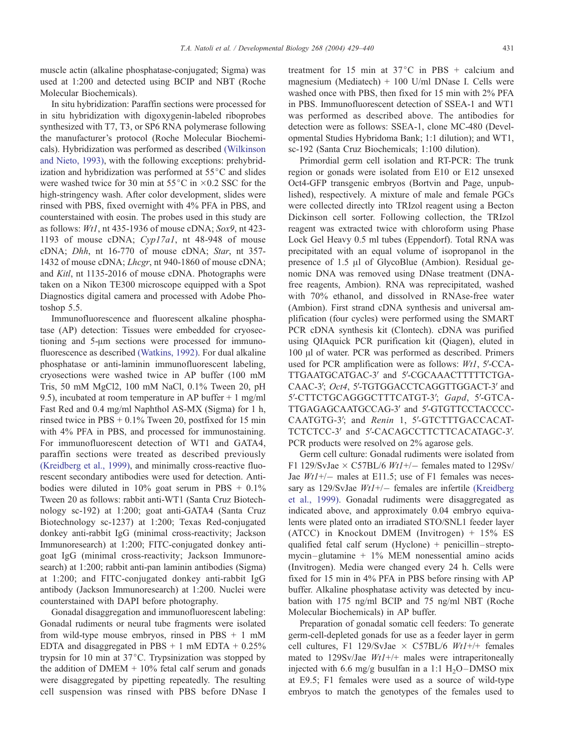muscle actin (alkaline phosphatase-conjugated; Sigma) was used at 1:200 and detected using BCIP and NBT (Roche Molecular Biochemicals).

In situ hybridization: Paraffin sections were processed for in situ hybridization with digoxygenin-labeled riboprobes synthesized with T7, T3, or SP6 RNA polymerase following the manufacturer's protocol (Roche Molecular Biochemicals). Hybridization was performed as described [\(Wilkinson](#page-11-0) and Nieto, 1993), with the following exceptions: prehybridization and hybridization was performed at  $55^{\circ}$ C and slides were washed twice for 30 min at  $55^{\circ}$ C in  $\times$ 0.2 SSC for the high-stringency wash. After color development, slides were rinsed with PBS, fixed overnight with 4% PFA in PBS, and counterstained with eosin. The probes used in this study are as follows: Wt1, nt 435-1936 of mouse cDNA; Sox9, nt 423- 1193 of mouse cDNA; Cyp17a1, nt 48-948 of mouse cDNA; Dhh, nt 16-770 of mouse cDNA; Star, nt 357- 1432 of mouse cDNA; Lhcgr, nt 940-1860 of mouse cDNA; and Kitl, nt 1135-2016 of mouse cDNA. Photographs were taken on a Nikon TE300 microscope equipped with a Spot Diagnostics digital camera and processed with Adobe Photoshop 5.5.

Immunofluorescence and fluorescent alkaline phosphatase (AP) detection: Tissues were embedded for cryosectioning and 5-um sections were processed for immunofluorescence as described [\(Watkins, 1992\).](#page-11-0) For dual alkaline phosphatase or anti-laminin immunofluorescent labeling, cryosections were washed twice in AP buffer (100 mM Tris, 50 mM MgCl2, 100 mM NaCl, 0.1% Tween 20, pH 9.5), incubated at room temperature in AP buffer + 1 mg/ml Fast Red and 0.4 mg/ml Naphthol AS-MX (Sigma) for 1 h, rinsed twice in  $PBS + 0.1\%$  Tween 20, postfixed for 15 min with 4% PFA in PBS, and processed for immunostaining. For immunofluorescent detection of WT1 and GATA4, paraffin sections were treated as described previously [\(Kreidberg et al., 1999\),](#page-10-0) and minimally cross-reactive fluorescent secondary antibodies were used for detection. Antibodies were diluted in  $10\%$  goat serum in PBS +  $0.1\%$ Tween 20 as follows: rabbit anti-WT1 (Santa Cruz Biotechnology sc-192) at 1:200; goat anti-GATA4 (Santa Cruz Biotechnology sc-1237) at 1:200; Texas Red-conjugated donkey anti-rabbit IgG (minimal cross-reactivity; Jackson Immunoresearch) at 1:200; FITC-conjugated donkey antigoat IgG (minimal cross-reactivity; Jackson Immunoresearch) at 1:200; rabbit anti-pan laminin antibodies (Sigma) at 1:200; and FITC-conjugated donkey anti-rabbit IgG antibody (Jackson Immunoresearch) at 1:200. Nuclei were counterstained with DAPI before photography.

Gonadal disaggregation and immunofluorescent labeling: Gonadal rudiments or neural tube fragments were isolated from wild-type mouse embryos, rinsed in PBS  $+ 1$  mM EDTA and disaggregated in PBS  $+ 1$  mM EDTA  $+ 0.25\%$ trypsin for 10 min at  $37^{\circ}$ C. Trypsinization was stopped by the addition of  $DMEM + 10\%$  fetal calf serum and gonads were disaggregated by pipetting repeatedly. The resulting cell suspension was rinsed with PBS before DNase I

treatment for 15 min at  $37^{\circ}$ C in PBS + calcium and magnesium (Mediatech) + 100 U/ml DNase I. Cells were washed once with PBS, then fixed for 15 min with 2% PFA in PBS. Immunofluorescent detection of SSEA-1 and WT1 was performed as described above. The antibodies for detection were as follows: SSEA-1, clone MC-480 (Developmental Studies Hybridoma Bank; 1:1 dilution); and WT1, sc-192 (Santa Cruz Biochemicals; 1:100 dilution).

Primordial germ cell isolation and RT-PCR: The trunk region or gonads were isolated from E10 or E12 unsexed Oct4-GFP transgenic embryos (Bortvin and Page, unpublished), respectively. A mixture of male and female PGCs were collected directly into TRIzol reagent using a Becton Dickinson cell sorter. Following collection, the TRIzol reagent was extracted twice with chloroform using Phase Lock Gel Heavy 0.5 ml tubes (Eppendorf). Total RNA was precipitated with an equal volume of isopropanol in the presence of 1.5 µl of GlycoBlue (Ambion). Residual genomic DNA was removed using DNase treatment (DNAfree reagents, Ambion). RNA was reprecipitated, washed with 70% ethanol, and dissolved in RNAse-free water (Ambion). First strand cDNA synthesis and universal amplification (four cycles) were performed using the SMART PCR cDNA synthesis kit (Clontech). cDNA was purified using QIAquick PCR purification kit (Qiagen), eluted in 100  $\mu$ l of water. PCR was performed as described. Primers used for PCR amplification were as follows:  $Wt1$ , 5'-CCA-TTGAATGCATGAC-3' and 5'-CGCAAACTTTTTCTGA-CAAC-3'; Oct4, 5'-TGTGGACCTCAGGTTGGACT-3' and 5'-CTTCTGCAGGGCTTTCATGT-3'; Gapd, 5'-GTCA-TTGAGAGCAATGCCAG-3' and 5'-GTGTTCCTACCCC-CAATGTG-3'; and Renin 1, 5'-GTCTTTGACCACAT-TCTCTCC-3' and 5'-CACAGCCTTCTTCACATAGC-3'. PCR products were resolved on 2% agarose gels.

Germ cell culture: Gonadal rudiments were isolated from F1 129/SvJae  $\times$  C57BL/6 *Wt1+/*-females mated to 129Sv/ Jae  $Wt1+/-$  males at E11.5; use of F1 females was necessary as 129/SvJae  $Wt1+/-$  females are infertile [\(Kreidberg](#page-10-0) et al., 1999). Gonadal rudiments were disaggregated as indicated above, and approximately 0.04 embryo equivalents were plated onto an irradiated STO/SNL1 feeder layer (ATCC) in Knockout DMEM (Invitrogen) + 15% ES qualified fetal calf serum (Hyclone) + penicillin – streptomycin– glutamine + 1% MEM nonessential amino acids (Invitrogen). Media were changed every 24 h. Cells were fixed for 15 min in 4% PFA in PBS before rinsing with AP buffer. Alkaline phosphatase activity was detected by incubation with 175 ng/ml BCIP and 75 ng/ml NBT (Roche Molecular Biochemicals) in AP buffer.

Preparation of gonadal somatic cell feeders: To generate germ-cell-depleted gonads for use as a feeder layer in germ cell cultures, F1 129/SvJae  $\times$  C57BL/6 Wt1+/+ females mated to 129Sv/Jae  $Wt1+/+$  males were intraperitoneally injected with 6.6 mg/g busulfan in a 1:1  $H<sub>2</sub>O$  – DMSO mix at E9.5; F1 females were used as a source of wild-type embryos to match the genotypes of the females used to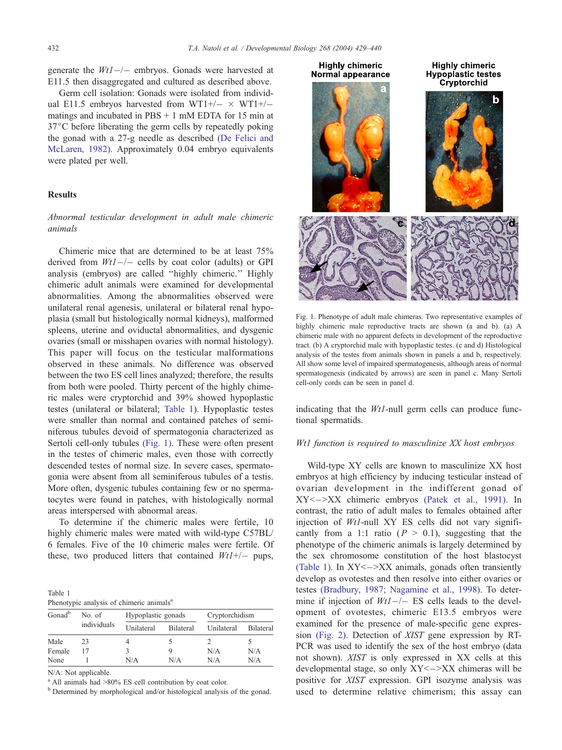generate the  $Wt1-/-$  embryos. Gonads were harvested at E11.5 then disaggregated and cultured as described above.

Germ cell isolation: Gonads were isolated from individual E11.5 embryos harvested from WT1+/ $- \times$  WT1+/ $$ matings and incubated in PBS + 1 mM EDTA for 15 min at  $37^{\circ}$ C before liberating the germ cells by repeatedly poking the gonad with a 27-g needle as described [\(De Felici and](#page-10-0) McLaren, 1982). Approximately 0.04 embryo equivalents were plated per well.

#### **Results**

# Abnormal testicular development in adult male chimeric animals

Chimeric mice that are determined to be at least 75% derived from  $Wt1$ -/- cells by coat color (adults) or GPI analysis (embryos) are called ''highly chimeric.'' Highly chimeric adult animals were examined for developmental abnormalities. Among the abnormalities observed were unilateral renal agenesis, unilateral or bilateral renal hypoplasia (small but histologically normal kidneys), malformed spleens, uterine and oviductal abnormalities, and dysgenic ovaries (small or misshapen ovaries with normal histology). This paper will focus on the testicular malformations observed in these animals. No difference was observed between the two ES cell lines analyzed; therefore, the results from both were pooled. Thirty percent of the highly chimeric males were cryptorchid and 39% showed hypoplastic testes (unilateral or bilateral; Table 1). Hypoplastic testes were smaller than normal and contained patches of seminiferous tubules devoid of spermatogonia characterized as Sertoli cell-only tubules (Fig. 1). These were often present in the testes of chimeric males, even those with correctly descended testes of normal size. In severe cases, spermatogonia were absent from all seminiferous tubules of a testis. More often, dysgenic tubules containing few or no spermatocytes were found in patches, with histologically normal areas interspersed with abnormal areas.

To determine if the chimeric males were fertile, 10 highly chimeric males were mated with wild-type C57BL/ 6 females. Five of the 10 chimeric males were fertile. Of these, two produced litters that contained  $Wt1+/-$  pups,

Table 1 Phenotypic analysis of chimeric animals<sup>a</sup>

| Gonad <sup>b</sup> | No. of<br>individuals | Hypoplastic gonads |                  | Cryptorchidism |                  |
|--------------------|-----------------------|--------------------|------------------|----------------|------------------|
|                    |                       | Unilateral         | <b>Bilateral</b> | Unilateral     | <b>Bilateral</b> |
| Male               | 23                    |                    |                  |                |                  |
| Female             |                       |                    |                  | N/A            | N/A              |
| None               |                       | N/A                | N/A              | N/A            | N/A              |

N/A: Not applicable.

<sup>a</sup> All animals had >80% ES cell contribution by coat color.

<sup>b</sup> Determined by morphological and/or histological analysis of the gonad.



Fig. 1. Phenotype of adult male chimeras. Two representative examples of highly chimeric male reproductive tracts are shown (a and b). (a) A chimeric male with no apparent defects in development of the reproductive tract. (b) A cryptorchid male with hypoplastic testes. (c and d) Histological analysis of the testes from animals shown in panels a and b, respectively. All show some level of impaired spermatogenesis, although areas of normal spermatogenesis (indicated by arrows) are seen in panel c. Many Sertoli cell-only cords can be seen in panel d.

indicating that the *Wt1*-null germ cells can produce functional spermatids.

#### Wt1 function is required to masculinize XX host embryos

Wild-type XY cells are known to masculinize XX host embryos at high efficiency by inducing testicular instead of ovarian development in the indifferent gonad of  $XY \leftarrow \rightarrow XX$  chimeric embryos [\(Patek et al., 1991\).](#page-10-0) In contrast, the ratio of adult males to females obtained after injection of  $Wt1$ -null XY ES cells did not vary significantly from a 1:1 ratio ( $P > 0.1$ ), suggesting that the phenotype of the chimeric animals is largely determined by the sex chromosome constitution of the host blastocyst (Table 1). In  $XY \leftarrow \searrow XX$  animals, gonads often transiently develop as ovotestes and then resolve into either ovaries or testes [\(Bradbury, 1987; Nagamine et al., 1998\).](#page-10-0) To determine if injection of  $Wt1-/-$  ES cells leads to the development of ovotestes, chimeric E13.5 embryos were examined for the presence of male-specific gene expression [\(Fig. 2\).](#page-4-0) Detection of XIST gene expression by RT-PCR was used to identify the sex of the host embryo (data not shown). XIST is only expressed in XX cells at this developmental stage, so only  $XY < \rightarrow XX$  chimeras will be positive for XIST expression. GPI isozyme analysis was used to determine relative chimerism; this assay can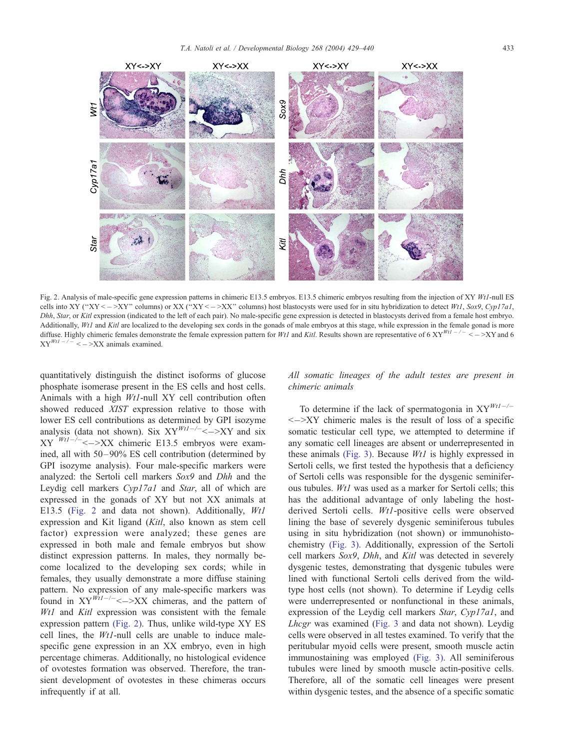<span id="page-4-0"></span>

Fig. 2. Analysis of male-specific gene expression patterns in chimeric E13.5 embryos. E13.5 chimeric embryos resulting from the injection of XY Wt1-null ES cells into XY ("XY <  $->$ XY" columns) or XX ("XY <  $->$ XX" columns) host blastocysts were used for in situ hybridization to detect Wt1, Sox9, Cyp17a1, Dhh, Star, or Kitl expression (indicated to the left of each pair). No male-specific gene expression is detected in blastocysts derived from a female host embryo. Additionally, Wt1 and Kitl are localized to the developing sex cords in the gonads of male embryos at this stage, while expression in the female gonad is more diffuse. Highly chimeric females demonstrate the female expression pattern for Wt1 and Kitl. Results shown are representative of 6  $XY^{Wt1}$   $\rightarrow$   $\rightarrow$   $\rightarrow$   $XY$  and 6  $XY^{Wt1 - (-)} \leq -\geq XX$  animals examined.

quantitatively distinguish the distinct isoforms of glucose phosphate isomerase present in the ES cells and host cells. Animals with a high Wt1-null XY cell contribution often showed reduced XIST expression relative to those with lower ES cell contributions as determined by GPI isozyme analysis (data not shown). Six  $XY^{Wt1-/-} \leq -\geq XY$  and six  $XY$ <sup>Wt1- $\lambda$ </sup> <  $\rightarrow$  XX chimeric E13.5 embryos were examined, all with 50–90% ES cell contribution (determined by GPI isozyme analysis). Four male-specific markers were analyzed: the Sertoli cell markers Sox9 and Dhh and the Leydig cell markers Cyp17a1 and Star, all of which are expressed in the gonads of XY but not XX animals at E13.5 (Fig. 2 and data not shown). Additionally, Wt1 expression and Kit ligand (Kitl, also known as stem cell factor) expression were analyzed; these genes are expressed in both male and female embryos but show distinct expression patterns. In males, they normally become localized to the developing sex cords; while in females, they usually demonstrate a more diffuse staining pattern. No expression of any male-specific markers was found in  $XY^{\overline{Wt}l-\frac{1}{<}}\rightarrow XX$  chimeras, and the pattern of Wt1 and Kitl expression was consistent with the female expression pattern (Fig. 2). Thus, unlike wild-type XY ES cell lines, the Wt1-null cells are unable to induce malespecific gene expression in an XX embryo, even in high percentage chimeras. Additionally, no histological evidence of ovotestes formation was observed. Therefore, the transient development of ovotestes in these chimeras occurs infrequently if at all.

All somatic lineages of the adult testes are present in chimeric animals

To determine if the lack of spermatogonia in  $XY^{Wt1-/-}$  $\leq$   $\geq$  XY chimeric males is the result of loss of a specific somatic testicular cell type, we attempted to determine if any somatic cell lineages are absent or underrepresented in these animals [\(Fig. 3\).](#page-5-0) Because Wt1 is highly expressed in Sertoli cells, we first tested the hypothesis that a deficiency of Sertoli cells was responsible for the dysgenic seminiferous tubules. Wt1 was used as a marker for Sertoli cells; this has the additional advantage of only labeling the hostderived Sertoli cells. Wt1-positive cells were observed lining the base of severely dysgenic seminiferous tubules using in situ hybridization (not shown) or immunohistochemistry [\(Fig. 3\).](#page-5-0) Additionally, expression of the Sertoli cell markers Sox9, Dhh, and Kitl was detected in severely dysgenic testes, demonstrating that dysgenic tubules were lined with functional Sertoli cells derived from the wildtype host cells (not shown). To determine if Leydig cells were underrepresented or nonfunctional in these animals, expression of the Leydig cell markers Star, Cyp17a1, and Lhcgr was examined ([Fig. 3](#page-5-0) and data not shown). Leydig cells were observed in all testes examined. To verify that the peritubular myoid cells were present, smooth muscle actin immunostaining was employed [\(Fig. 3\).](#page-5-0) All seminiferous tubules were lined by smooth muscle actin-positive cells. Therefore, all of the somatic cell lineages were present within dysgenic testes, and the absence of a specific somatic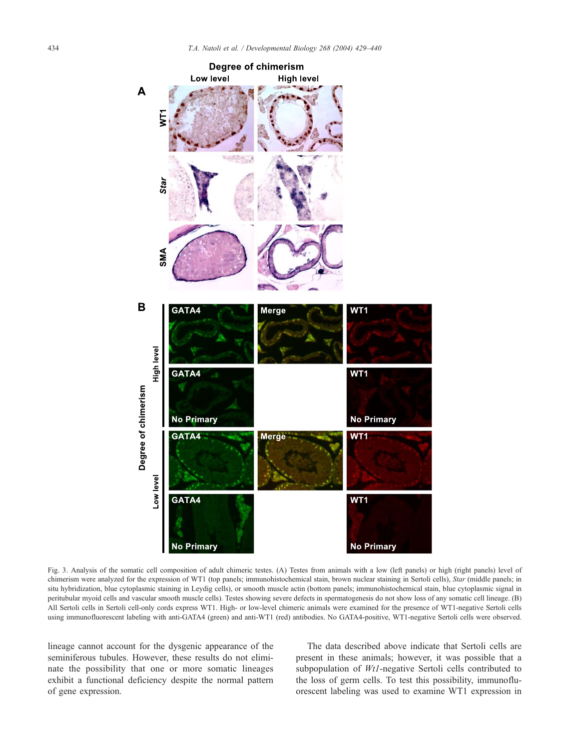<span id="page-5-0"></span>

Fig. 3. Analysis of the somatic cell composition of adult chimeric testes. (A) Testes from animals with a low (left panels) or high (right panels) level of chimerism were analyzed for the expression of WT1 (top panels; immunohistochemical stain, brown nuclear staining in Sertoli cells), Star (middle panels; in situ hybridization, blue cytoplasmic staining in Leydig cells), or smooth muscle actin (bottom panels; immunohistochemical stain, blue cytoplasmic signal in peritubular myoid cells and vascular smooth muscle cells). Testes showing severe defects in spermatogenesis do not show loss of any somatic cell lineage. (B) All Sertoli cells in Sertoli cell-only cords express WT1. High- or low-level chimeric animals were examined for the presence of WT1-negative Sertoli cells using immunofluorescent labeling with anti-GATA4 (green) and anti-WT1 (red) antibodies. No GATA4-positive, WT1-negative Sertoli cells were observed.

lineage cannot account for the dysgenic appearance of the seminiferous tubules. However, these results do not eliminate the possibility that one or more somatic lineages exhibit a functional deficiency despite the normal pattern of gene expression.

The data described above indicate that Sertoli cells are present in these animals; however, it was possible that a subpopulation of *Wt1*-negative Sertoli cells contributed to the loss of germ cells. To test this possibility, immunofluorescent labeling was used to examine WT1 expression in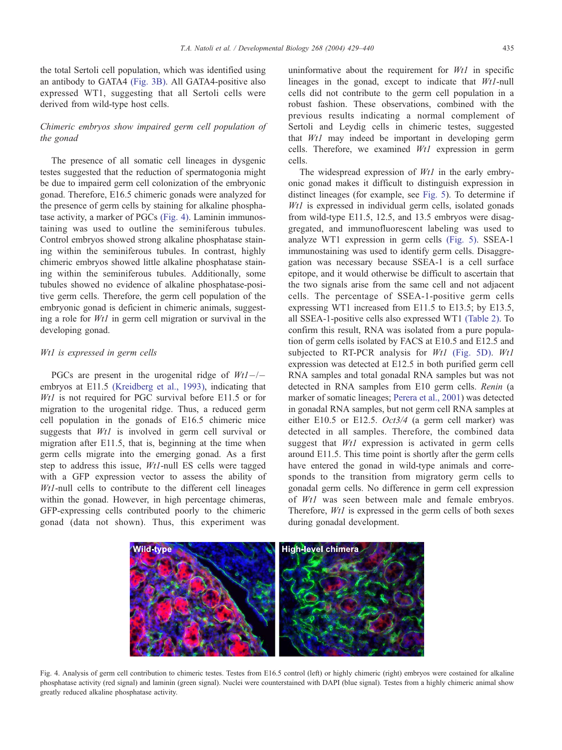the total Sertoli cell population, which was identified using an antibody to GATA4 [\(Fig. 3B\).](#page-5-0) All GATA4-positive also expressed WT1, suggesting that all Sertoli cells were derived from wild-type host cells.

# Chimeric embryos show impaired germ cell population of the gonad

The presence of all somatic cell lineages in dysgenic testes suggested that the reduction of spermatogonia might be due to impaired germ cell colonization of the embryonic gonad. Therefore, E16.5 chimeric gonads were analyzed for the presence of germ cells by staining for alkaline phosphatase activity, a marker of PGCs (Fig. 4). Laminin immunostaining was used to outline the seminiferous tubules. Control embryos showed strong alkaline phosphatase staining within the seminiferous tubules. In contrast, highly chimeric embryos showed little alkaline phosphatase staining within the seminiferous tubules. Additionally, some tubules showed no evidence of alkaline phosphatase-positive germ cells. Therefore, the germ cell population of the embryonic gonad is deficient in chimeric animals, suggesting a role for Wt1 in germ cell migration or survival in the developing gonad.

## Wt1 is expressed in germ cells

PGCs are present in the urogenital ridge of  $Wt1$ -/embryos at E11.5 [\(Kreidberg et al., 1993\),](#page-10-0) indicating that Wt1 is not required for PGC survival before E11.5 or for migration to the urogenital ridge. Thus, a reduced germ cell population in the gonads of E16.5 chimeric mice suggests that Wt1 is involved in germ cell survival or migration after E11.5, that is, beginning at the time when germ cells migrate into the emerging gonad. As a first step to address this issue, Wt1-null ES cells were tagged with a GFP expression vector to assess the ability of Wt1-null cells to contribute to the different cell lineages within the gonad. However, in high percentage chimeras, GFP-expressing cells contributed poorly to the chimeric gonad (data not shown). Thus, this experiment was

uninformative about the requirement for  $Wt1$  in specific lineages in the gonad, except to indicate that Wt1-null cells did not contribute to the germ cell population in a robust fashion. These observations, combined with the previous results indicating a normal complement of Sertoli and Leydig cells in chimeric testes, suggested that Wt1 may indeed be important in developing germ cells. Therefore, we examined  $Wt1$  expression in germ cells.

The widespread expression of  $Wt1$  in the early embryonic gonad makes it difficult to distinguish expression in distinct lineages (for example, see [Fig. 5\)](#page-7-0). To determine if Wt1 is expressed in individual germ cells, isolated gonads from wild-type E11.5, 12.5, and 13.5 embryos were disaggregated, and immunofluorescent labeling was used to analyze WT1 expression in germ cells [\(Fig. 5\).](#page-7-0) SSEA-1 immunostaining was used to identify germ cells. Disaggregation was necessary because SSEA-1 is a cell surface epitope, and it would otherwise be difficult to ascertain that the two signals arise from the same cell and not adjacent cells. The percentage of SSEA-1-positive germ cells expressing WT1 increased from E11.5 to E13.5; by E13.5, all SSEA-1-positive cells also expressed WT1 [\(Table 2\).](#page-7-0) To confirm this result, RNA was isolated from a pure population of germ cells isolated by FACS at E10.5 and E12.5 and subjected to RT-PCR analysis for  $Wt1$  [\(Fig. 5D\).](#page-7-0)  $Wt1$ expression was detected at E12.5 in both purified germ cell RNA samples and total gonadal RNA samples but was not detected in RNA samples from E10 germ cells. Renin (a marker of somatic lineages; [Perera et al., 2001\)](#page-10-0) was detected in gonadal RNA samples, but not germ cell RNA samples at either E10.5 or E12.5. Oct3/4 (a germ cell marker) was detected in all samples. Therefore, the combined data suggest that *Wt1* expression is activated in germ cells around E11.5. This time point is shortly after the germ cells have entered the gonad in wild-type animals and corresponds to the transition from migratory germ cells to gonadal germ cells. No difference in germ cell expression of Wt1 was seen between male and female embryos. Therefore, Wt1 is expressed in the germ cells of both sexes during gonadal development.



Fig. 4. Analysis of germ cell contribution to chimeric testes. Testes from E16.5 control (left) or highly chimeric (right) embryos were costained for alkaline phosphatase activity (red signal) and laminin (green signal). Nuclei were counterstained with DAPI (blue signal). Testes from a highly chimeric animal show greatly reduced alkaline phosphatase activity.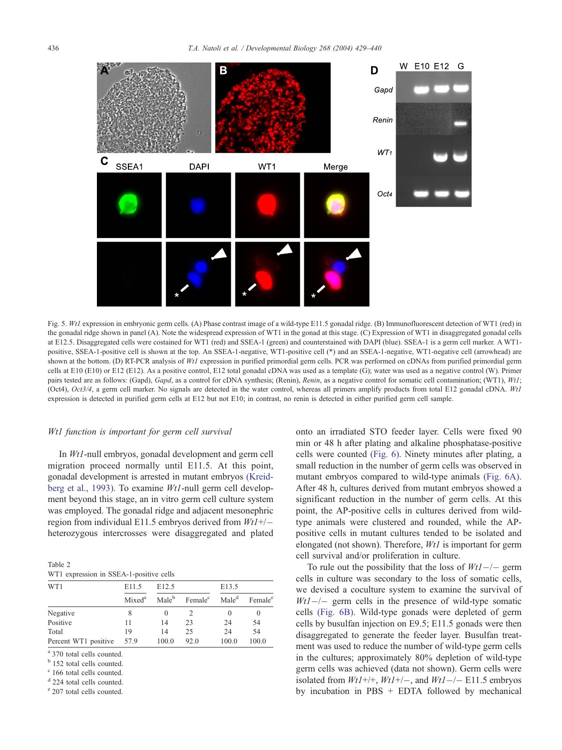<span id="page-7-0"></span>

Fig. 5. Wt1 expression in embryonic germ cells. (A) Phase contrast image of a wild-type E11.5 gonadal ridge. (B) Immunofluorescent detection of WT1 (red) in the gonadal ridge shown in panel (A). Note the widespread expression of WT1 in the gonad at this stage. (C) Expression of WT1 in disaggregated gonadal cells at E12.5. Disaggregated cells were costained for WT1 (red) and SSEA-1 (green) and counterstained with DAPI (blue). SSEA-1 is a germ cell marker. A WT1 positive, SSEA-1-positive cell is shown at the top. An SSEA-1-negative, WT1-positive cell (\*) and an SSEA-1-negative, WT1-negative cell (arrowhead) are shown at the bottom. (D) RT-PCR analysis of Wt1 expression in purified primordial germ cells. PCR was performed on cDNAs from purified primordial germ cells at E10 (E10) or E12 (E12). As a positive control, E12 total gonadal cDNA was used as a template (G); water was used as a negative control (W). Primer pairs tested are as follows: (Gapd), Gapd, as a control for cDNA synthesis; (Renin), Renin, as a negative control for somatic cell contamination; (WT1), Wt1; (Oct4), Oct3/4, a germ cell marker. No signals are detected in the water control, whereas all primers amplify products from total E12 gonadal cDNA. Wt1 expression is detected in purified germ cells at E12 but not E10; in contrast, no renin is detected in either purified germ cell sample.

#### Wt1 function is important for germ cell survival

In Wt1-null embryos, gonadal development and germ cell migration proceed normally until E11.5. At this point, gonadal development is arrested in mutant embryos [\(Kreid](#page-10-0)berg et al., 1993). To examine Wt1-null germ cell development beyond this stage, an in vitro germ cell culture system was employed. The gonadal ridge and adjacent mesonephric region from individual E11.5 embryos derived from  $Wt1+/$ heterozygous intercrosses were disaggregated and plated

Table 2 WT1 expression in SSEA-1-positive cells

| WT1                  | E11.5              | E <sub>12.5</sub> |                     | E13.5             |                     |
|----------------------|--------------------|-------------------|---------------------|-------------------|---------------------|
|                      | Mixed <sup>a</sup> | Male <sup>b</sup> | Female <sup>c</sup> | Male <sup>d</sup> | Female <sup>e</sup> |
| Negative             |                    | $\theta$          |                     | $\theta$          | $\theta$            |
| Positive             | 11                 | 14                | 23                  | 24                | 54                  |
| Total                | 19                 | 14                | 25                  | 24                | 54                  |
| Percent WT1 positive | 57.9               | 100.0             | 92.0                | 100.0             | 100.0               |

<sup>a</sup> 370 total cells counted.

<sup>b</sup> 152 total cells counted.

 $c$  166 total cells counted.

<sup>d</sup> 224 total cells counted.

<sup>e</sup> 207 total cells counted.

onto an irradiated STO feeder layer. Cells were fixed 90 min or 48 h after plating and alkaline phosphatase-positive cells were counted [\(Fig. 6\).](#page-8-0) Ninety minutes after plating, a small reduction in the number of germ cells was observed in mutant embryos compared to wild-type animals [\(Fig. 6A\).](#page-8-0) After 48 h, cultures derived from mutant embryos showed a significant reduction in the number of germ cells. At this point, the AP-positive cells in cultures derived from wildtype animals were clustered and rounded, while the APpositive cells in mutant cultures tended to be isolated and elongated (not shown). Therefore,  $Wt1$  is important for germ cell survival and/or proliferation in culture.

To rule out the possibility that the loss of  $Wt1-$  germ cells in culture was secondary to the loss of somatic cells, we devised a coculture system to examine the survival of  $Wt1$ -/- germ cells in the presence of wild-type somatic cells [\(Fig. 6B\).](#page-8-0) Wild-type gonads were depleted of germ cells by busulfan injection on E9.5; E11.5 gonads were then disaggregated to generate the feeder layer. Busulfan treatment was used to reduce the number of wild-type germ cells in the cultures; approximately 80% depletion of wild-type germ cells was achieved (data not shown). Germ cells were isolated from  $Wt1+/+, Wt1+/-$ , and  $Wt1-/-$  E11.5 embryos by incubation in PBS + EDTA followed by mechanical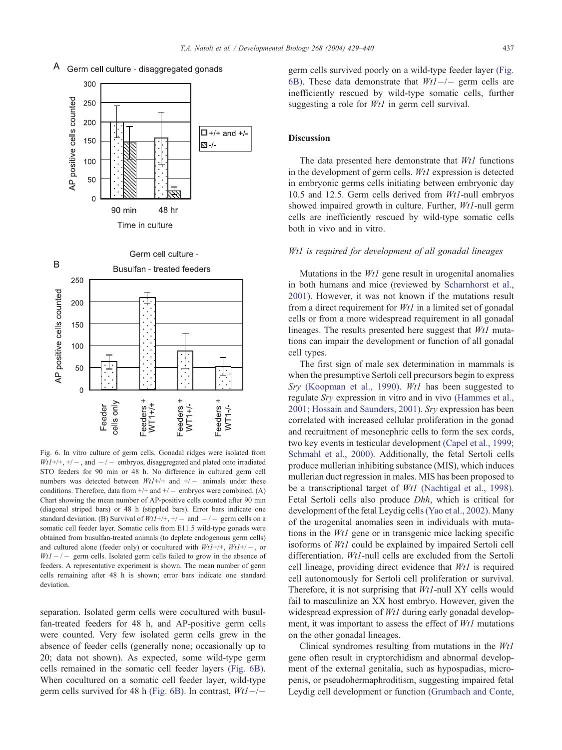

Germ cell culture - disaggregated gonads

<span id="page-8-0"></span>A



Fig. 6. In vitro culture of germ cells. Gonadal ridges were isolated from  $WtI+/+, +/-$ , and  $-/-$  embryos, disaggregated and plated onto irradiated STO feeders for 90 min or 48 h. No difference in cultured germ cell numbers was detected between  $WtI+/+$  and  $+/-$  animals under these conditions. Therefore, data from  $+/+$  and  $+/-$  embryos were combined. (A) Chart showing the mean number of AP-positive cells counted after 90 min (diagonal striped bars) or 48 h (stippled bars). Error bars indicate one standard deviation. (B) Survival of  $Wt1+/+, +/-$  and  $-/-$  germ cells on a somatic cell feeder layer. Somatic cells from E11.5 wild-type gonads were obtained from busulfan-treated animals (to deplete endogenous germ cells) and cultured alone (feeder only) or cocultured with  $Wt1+/+$ ,  $Wt1+/-$ , or  $Wt1 - \ell$  germ cells. Isolated germ cells failed to grow in the absence of feeders. A representative experiment is shown. The mean number of germ cells remaining after 48 h is shown; error bars indicate one standard deviation.

separation. Isolated germ cells were cocultured with busulfan-treated feeders for 48 h, and AP-positive germ cells were counted. Very few isolated germ cells grew in the absence of feeder cells (generally none; occasionally up to 20; data not shown). As expected, some wild-type germ cells remained in the somatic cell feeder layers (Fig. 6B). When cocultured on a somatic cell feeder layer, wild-type germ cells survived for 48 h (Fig. 6B). In contrast,  $Wt1$ -/-

germ cells survived poorly on a wild-type feeder layer (Fig. 6B). These data demonstrate that  $Wt1-/-$  germ cells are inefficiently rescued by wild-type somatic cells, further suggesting a role for *Wt1* in germ cell survival.

## Discussion

The data presented here demonstrate that  $Wt1$  functions in the development of germ cells. Wt1 expression is detected in embryonic germs cells initiating between embryonic day 10.5 and 12.5. Germ cells derived from Wt1-null embryos showed impaired growth in culture. Further, Wt1-null germ cells are inefficiently rescued by wild-type somatic cells both in vivo and in vitro.

## Wt1 is required for development of all gonadal lineages

Mutations in the Wt1 gene result in urogenital anomalies in both humans and mice (reviewed by [Scharnhorst et al.,](#page-10-0) 2001). However, it was not known if the mutations result from a direct requirement for  $Wt1$  in a limited set of gonadal cells or from a more widespread requirement in all gonadal lineages. The results presented here suggest that Wt1 mutations can impair the development or function of all gonadal cell types.

The first sign of male sex determination in mammals is when the presumptive Sertoli cell precursors begin to express Sry [\(Koopman et al., 1990\).](#page-10-0) Wt1 has been suggested to regulate Sry expression in vitro and in vivo [\(Hammes et al.,](#page-10-0) 2001; Hossain and Saunders, 2001). Sry expression has been correlated with increased cellular proliferation in the gonad and recruitment of mesonephric cells to form the sex cords, two key events in testicular development [\(Capel et al., 1999;](#page-10-0) Schmahl et al., 2000). Additionally, the fetal Sertoli cells produce mullerian inhibiting substance (MIS), which induces mullerian duct regression in males. MIS has been proposed to be a transcriptional target of *Wt1* [\(Nachtigal et al., 1998\).](#page-10-0) Fetal Sertoli cells also produce Dhh, which is critical for development of the fetal Leydig cells[\(Yao et al., 2002\).](#page-11-0) Many of the urogenital anomalies seen in individuals with mutations in the Wt1 gene or in transgenic mice lacking specific isoforms of Wt1 could be explained by impaired Sertoli cell differentiation. Wt1-null cells are excluded from the Sertoli cell lineage, providing direct evidence that  $Wt1$  is required cell autonomously for Sertoli cell proliferation or survival. Therefore, it is not surprising that Wt1-null XY cells would fail to masculinize an XX host embryo. However, given the widespread expression of Wt1 during early gonadal development, it was important to assess the effect of  $Wt1$  mutations on the other gonadal lineages.

Clinical syndromes resulting from mutations in the Wt1 gene often result in cryptorchidism and abnormal development of the external genitalia, such as hypospadias, micropenis, or pseudohermaphroditism, suggesting impaired fetal Leydig cell development or function [\(Grumbach and Conte,](#page-10-0)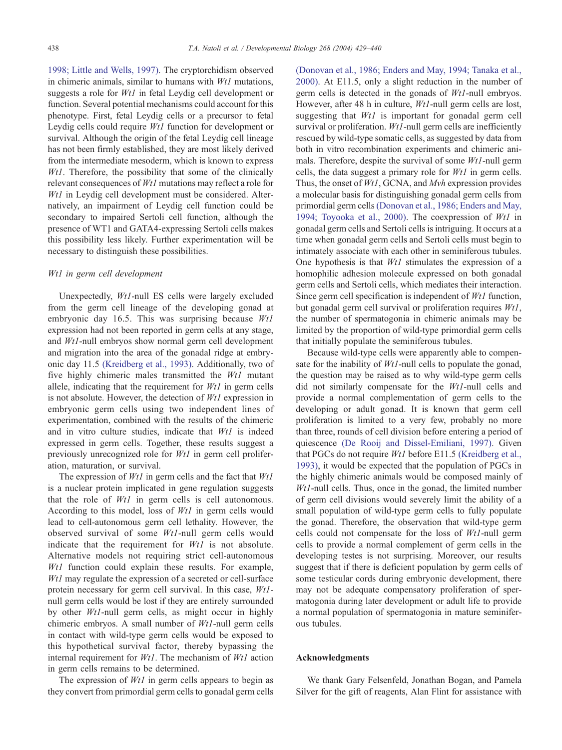1998; Little and Wells, 1997). The cryptorchidism observed in chimeric animals, similar to humans with Wt1 mutations, suggests a role for Wt1 in fetal Leydig cell development or function. Several potential mechanisms could account for this phenotype. First, fetal Leydig cells or a precursor to fetal Leydig cells could require Wt1 function for development or survival. Although the origin of the fetal Leydig cell lineage has not been firmly established, they are most likely derived from the intermediate mesoderm, which is known to express  $Wt1$ . Therefore, the possibility that some of the clinically relevant consequences of Wt1 mutations may reflect a role for Wt1 in Leydig cell development must be considered. Alternatively, an impairment of Leydig cell function could be secondary to impaired Sertoli cell function, although the presence of WT1 and GATA4-expressing Sertoli cells makes this possibility less likely. Further experimentation will be necessary to distinguish these possibilities.

#### Wt1 in germ cell development

Unexpectedly, Wt1-null ES cells were largely excluded from the germ cell lineage of the developing gonad at embryonic day 16.5. This was surprising because Wt1 expression had not been reported in germ cells at any stage, and Wt1-null embryos show normal germ cell development and migration into the area of the gonadal ridge at embryonic day 11.5 [\(Kreidberg et al., 1993\).](#page-10-0) Additionally, two of five highly chimeric males transmitted the Wt1 mutant allele, indicating that the requirement for  $Wt1$  in germ cells is not absolute. However, the detection of Wt1 expression in embryonic germ cells using two independent lines of experimentation, combined with the results of the chimeric and in vitro culture studies, indicate that Wt1 is indeed expressed in germ cells. Together, these results suggest a previously unrecognized role for Wt1 in germ cell proliferation, maturation, or survival.

The expression of  $Wt1$  in germ cells and the fact that  $Wt1$ is a nuclear protein implicated in gene regulation suggests that the role of Wt1 in germ cells is cell autonomous. According to this model, loss of Wt1 in germ cells would lead to cell-autonomous germ cell lethality. However, the observed survival of some Wt1-null germ cells would indicate that the requirement for  $Wt1$  is not absolute. Alternative models not requiring strict cell-autonomous Wt1 function could explain these results. For example, Wt1 may regulate the expression of a secreted or cell-surface protein necessary for germ cell survival. In this case, Wt1 null germ cells would be lost if they are entirely surrounded by other Wt1-null germ cells, as might occur in highly chimeric embryos. A small number of Wt1-null germ cells in contact with wild-type germ cells would be exposed to this hypothetical survival factor, thereby bypassing the internal requirement for  $Wt1$ . The mechanism of  $Wt1$  action in germ cells remains to be determined.

The expression of  $Wt1$  in germ cells appears to begin as they convert from primordial germ cells to gonadal germ cells [\(Donovan et al., 1986; Enders and May, 1994; Tanaka et al.,](#page-10-0) 2000). At E11.5, only a slight reduction in the number of germ cells is detected in the gonads of Wt1-null embryos. However, after 48 h in culture, Wt1-null germ cells are lost, suggesting that *Wt1* is important for gonadal germ cell survival or proliferation.  $Wt1$ -null germ cells are inefficiently rescued by wild-type somatic cells, as suggested by data from both in vitro recombination experiments and chimeric animals. Therefore, despite the survival of some Wt1-null germ cells, the data suggest a primary role for Wt1 in germ cells. Thus, the onset of Wt1, GCNA, and Mvh expression provides a molecular basis for distinguishing gonadal germ cells from primordial germ cells[\(Donovan et al., 1986; Enders and May,](#page-10-0) 1994; Toyooka et al., 2000). The coexpression of  $Wt1$  in gonadal germ cells and Sertoli cells is intriguing. It occurs at a time when gonadal germ cells and Sertoli cells must begin to intimately associate with each other in seminiferous tubules. One hypothesis is that  $Wt1$  stimulates the expression of a homophilic adhesion molecule expressed on both gonadal germ cells and Sertoli cells, which mediates their interaction. Since germ cell specification is independent of Wt1 function, but gonadal germ cell survival or proliferation requires Wt1, the number of spermatogonia in chimeric animals may be limited by the proportion of wild-type primordial germ cells that initially populate the seminiferous tubules.

Because wild-type cells were apparently able to compensate for the inability of *Wt1*-null cells to populate the gonad, the question may be raised as to why wild-type germ cells did not similarly compensate for the Wt1-null cells and provide a normal complementation of germ cells to the developing or adult gonad. It is known that germ cell proliferation is limited to a very few, probably no more than three, rounds of cell division before entering a period of quiescence [\(De Rooij and Dissel-Emiliani, 1997\).](#page-10-0) Given that PGCs do not require Wt1 before E11.5 [\(Kreidberg et al.,](#page-10-0) 1993), it would be expected that the population of PGCs in the highly chimeric animals would be composed mainly of Wt1-null cells. Thus, once in the gonad, the limited number of germ cell divisions would severely limit the ability of a small population of wild-type germ cells to fully populate the gonad. Therefore, the observation that wild-type germ cells could not compensate for the loss of Wt1-null germ cells to provide a normal complement of germ cells in the developing testes is not surprising. Moreover, our results suggest that if there is deficient population by germ cells of some testicular cords during embryonic development, there may not be adequate compensatory proliferation of spermatogonia during later development or adult life to provide a normal population of spermatogonia in mature seminiferous tubules.

# Acknowledgments

We thank Gary Felsenfeld, Jonathan Bogan, and Pamela Silver for the gift of reagents, Alan Flint for assistance with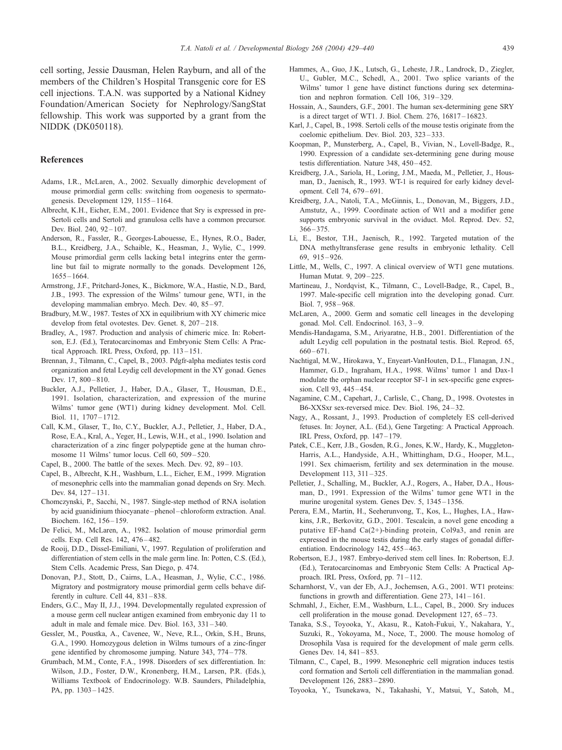<span id="page-10-0"></span>cell sorting, Jessie Dausman, Helen Rayburn, and all of the members of the Children's Hospital Transgenic core for ES cell injections. T.A.N. was supported by a National Kidney Foundation/American Society for Nephrology/SangStat fellowship. This work was supported by a grant from the NIDDK (DK050118).

## References

- Adams, I.R., McLaren, A., 2002. Sexually dimorphic development of mouse primordial germ cells: switching from oogenesis to spermatogenesis. Development 129, 1155 – 1164.
- Albrecht, K.H., Eicher, E.M., 2001. Evidence that Sry is expressed in pre-Sertoli cells and Sertoli and granulosa cells have a common precursor. Dev. Biol. 240, 92-107.
- Anderson, R., Fassler, R., Georges-Labouesse, E., Hynes, R.O., Bader, B.L., Kreidberg, J.A., Schaible, K., Heasman, J., Wylie, C., 1999. Mouse primordial germ cells lacking beta1 integrins enter the germline but fail to migrate normally to the gonads. Development 126, 1655 – 1664.
- Armstrong, J.F., Pritchard-Jones, K., Bickmore, W.A., Hastie, N.D., Bard, J.B., 1993. The expression of the Wilms' tumour gene, WT1, in the developing mammalian embryo. Mech. Dev. 40, 85-97.
- Bradbury, M.W., 1987. Testes of XX in equilibrium with XY chimeric mice develop from fetal ovotestes. Dev. Genet. 8, 207 – 218.
- Bradley, A., 1987. Production and analysis of chimeric mice. In: Robertson, E.J. (Ed.), Teratocarcinomas and Embryonic Stem Cells: A Practical Approach. IRL Press, Oxford, pp. 113 – 151.
- Brennan, J., Tilmann, C., Capel, B., 2003. Pdgfr-alpha mediates testis cord organization and fetal Leydig cell development in the XY gonad. Genes Dev. 17, 800-810.
- Buckler, A.J., Pelletier, J., Haber, D.A., Glaser, T., Housman, D.E., 1991. Isolation, characterization, and expression of the murine Wilms' tumor gene (WT1) during kidney development. Mol. Cell. Biol. 11, 1707 – 1712.
- Call, K.M., Glaser, T., Ito, C.Y., Buckler, A.J., Pelletier, J., Haber, D.A., Rose, E.A., Kral, A., Yeger, H., Lewis, W.H., et al., 1990. Isolation and characterization of a zinc finger polypeptide gene at the human chromosome 11 Wilms' tumor locus. Cell 60, 509 – 520.
- Capel, B., 2000. The battle of the sexes. Mech. Dev. 92, 89–103.
- Capel, B., Albrecht, K.H., Washburn, L.L., Eicher, E.M., 1999. Migration of mesonephric cells into the mammalian gonad depends on Sry. Mech. Dev. 84, 127-131.
- Chomczynski, P., Sacchi, N., 1987. Single-step method of RNA isolation by acid guanidinium thiocyanate – phenol – chloroform extraction. Anal. Biochem. 162, 156-159.
- De Felici, M., McLaren, A., 1982. Isolation of mouse primordial germ cells. Exp. Cell Res. 142, 476 – 482.
- de Rooij, D.D., Dissel-Emiliani, V., 1997. Regulation of proliferation and differentiation of stem cells in the male germ line. In: Potten, C.S. (Ed.), Stem Cells. Academic Press, San Diego, p. 474.
- Donovan, P.J., Stott, D., Cairns, L.A., Heasman, J., Wylie, C.C., 1986. Migratory and postmigratory mouse primordial germ cells behave differently in culture. Cell 44, 831-838.
- Enders, G.C., May II, J.J., 1994. Developmentally regulated expression of a mouse germ cell nuclear antigen examined from embryonic day 11 to adult in male and female mice. Dev. Biol. 163, 331 – 340.
- Gessler, M., Poustka, A., Cavenee, W., Neve, R.L., Orkin, S.H., Bruns, G.A., 1990. Homozygous deletion in Wilms tumours of a zinc-finger gene identified by chromosome jumping. Nature 343, 774 – 778.
- Grumbach, M.M., Conte, F.A., 1998. Disorders of sex differentiation. In: Wilson, J.D., Foster, D.W., Kronenberg, H.M., Larsen, P.R. (Eds.), Williams Textbook of Endocrinology. W.B. Saunders, Philadelphia, PA, pp. 1303-1425.
- Hammes, A., Guo, J.K., Lutsch, G., Leheste, J.R., Landrock, D., Ziegler, U., Gubler, M.C., Schedl, A., 2001. Two splice variants of the Wilms' tumor 1 gene have distinct functions during sex determination and nephron formation. Cell 106, 319 – 329.
- Hossain, A., Saunders, G.F., 2001. The human sex-determining gene SRY is a direct target of WT1. J. Biol. Chem. 276, 16817 – 16823.
- Karl, J., Capel, B., 1998. Sertoli cells of the mouse testis originate from the coelomic epithelium. Dev. Biol. 203, 323 – 333.
- Koopman, P., Munsterberg, A., Capel, B., Vivian, N., Lovell-Badge, R., 1990. Expression of a candidate sex-determining gene during mouse testis differentiation. Nature 348, 450-452.
- Kreidberg, J.A., Sariola, H., Loring, J.M., Maeda, M., Pelletier, J., Housman, D., Jaenisch, R., 1993. WT-1 is required for early kidney development. Cell 74, 679 – 691.
- Kreidberg, J.A., Natoli, T.A., McGinnis, L., Donovan, M., Biggers, J.D., Amstutz, A., 1999. Coordinate action of Wt1 and a modifier gene supports embryonic survival in the oviduct. Mol. Reprod. Dev. 52, 366 – 375.
- Li, E., Bestor, T.H., Jaenisch, R., 1992. Targeted mutation of the DNA methyltransferase gene results in embryonic lethality. Cell 69, 915 – 926.
- Little, M., Wells, C., 1997. A clinical overview of WT1 gene mutations. Human Mutat. 9, 209 – 225.
- Martineau, J., Nordqvist, K., Tilmann, C., Lovell-Badge, R., Capel, B., 1997. Male-specific cell migration into the developing gonad. Curr. Biol. 7, 958 – 968.
- McLaren, A., 2000. Germ and somatic cell lineages in the developing gonad. Mol. Cell. Endocrinol. 163, 3-9.
- Mendis-Handagama, S.M., Ariyaratne, H.B., 2001. Differentiation of the adult Leydig cell population in the postnatal testis. Biol. Reprod. 65,  $660 - 671.$
- Nachtigal, M.W., Hirokawa, Y., Enyeart-VanHouten, D.L., Flanagan, J.N., Hammer, G.D., Ingraham, H.A., 1998. Wilms' tumor 1 and Dax-1 modulate the orphan nuclear receptor SF-1 in sex-specific gene expression. Cell 93, 445 – 454.
- Nagamine, C.M., Capehart, J., Carlisle, C., Chang, D., 1998. Ovotestes in B6-XXSxr sex-reversed mice. Dev. Biol. 196, 24 – 32.
- Nagy, A., Rossant, J., 1993. Production of completely ES cell-derived fetuses. In: Joyner, A.L. (Ed.), Gene Targeting: A Practical Approach. IRL Press, Oxford, pp. 147 – 179.
- Patek, C.E., Kerr, J.B., Gosden, R.G., Jones, K.W., Hardy, K., Muggleton-Harris, A.L., Handyside, A.H., Whittingham, D.G., Hooper, M.L., 1991. Sex chimaerism, fertility and sex determination in the mouse. Development 113, 311 – 325.
- Pelletier, J., Schalling, M., Buckler, A.J., Rogers, A., Haber, D.A., Housman, D., 1991. Expression of the Wilms' tumor gene WT1 in the murine urogenital system. Genes Dev. 5, 1345 – 1356.
- Perera, E.M., Martin, H., Seeherunvong, T., Kos, L., Hughes, I.A., Hawkins, J.R., Berkovitz, G.D., 2001. Tescalcin, a novel gene encoding a putative EF-hand Ca(2+)-binding protein, Col9a3, and renin are expressed in the mouse testis during the early stages of gonadal differentiation. Endocrinology 142, 455-463.
- Robertson, E.J., 1987. Embryo-derived stem cell lines. In: Robertson, E.J. (Ed.), Teratocarcinomas and Embryonic Stem Cells: A Practical Approach. IRL Press, Oxford, pp. 71 – 112.
- Scharnhorst, V., van der Eb, A.J., Jochemsen, A.G., 2001. WT1 proteins: functions in growth and differentiation. Gene 273, 141 – 161.
- Schmahl, J., Eicher, E.M., Washburn, L.L., Capel, B., 2000. Sry induces cell proliferation in the mouse gonad. Development 127, 65 – 73.
- Tanaka, S.S., Toyooka, Y., Akasu, R., Katoh-Fukui, Y., Nakahara, Y., Suzuki, R., Yokoyama, M., Noce, T., 2000. The mouse homolog of Drosophila Vasa is required for the development of male germ cells. Genes Dev. 14, 841-853.
- Tilmann, C., Capel, B., 1999. Mesonephric cell migration induces testis cord formation and Sertoli cell differentiation in the mammalian gonad. Development 126, 2883 – 2890.
- Toyooka, Y., Tsunekawa, N., Takahashi, Y., Matsui, Y., Satoh, M.,